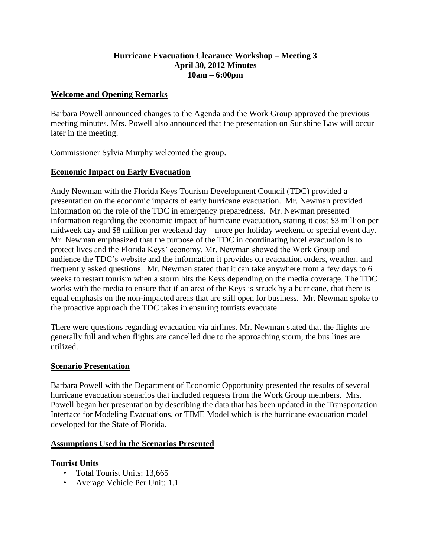### **Hurricane Evacuation Clearance Workshop – Meeting 3 April 30, 2012 Minutes 10am – 6:00pm**

### **Welcome and Opening Remarks**

Barbara Powell announced changes to the Agenda and the Work Group approved the previous meeting minutes. Mrs. Powell also announced that the presentation on Sunshine Law will occur later in the meeting.

Commissioner Sylvia Murphy welcomed the group.

# **Economic Impact on Early Evacuation**

Andy Newman with the Florida Keys Tourism Development Council (TDC) provided a presentation on the economic impacts of early hurricane evacuation. Mr. Newman provided information on the role of the TDC in emergency preparedness. Mr. Newman presented information regarding the economic impact of hurricane evacuation, stating it cost \$3 million per midweek day and \$8 million per weekend day – more per holiday weekend or special event day. Mr. Newman emphasized that the purpose of the TDC in coordinating hotel evacuation is to protect lives and the Florida Keys' economy. Mr. Newman showed the Work Group and audience the TDC's website and the information it provides on evacuation orders, weather, and frequently asked questions. Mr. Newman stated that it can take anywhere from a few days to 6 weeks to restart tourism when a storm hits the Keys depending on the media coverage. The TDC works with the media to ensure that if an area of the Keys is struck by a hurricane, that there is equal emphasis on the non-impacted areas that are still open for business. Mr. Newman spoke to the proactive approach the TDC takes in ensuring tourists evacuate.

There were questions regarding evacuation via airlines. Mr. Newman stated that the flights are generally full and when flights are cancelled due to the approaching storm, the bus lines are utilized.

#### **Scenario Presentation**

Barbara Powell with the Department of Economic Opportunity presented the results of several hurricane evacuation scenarios that included requests from the Work Group members. Mrs. Powell began her presentation by describing the data that has been updated in the Transportation Interface for Modeling Evacuations, or TIME Model which is the hurricane evacuation model developed for the State of Florida.

#### **Assumptions Used in the Scenarios Presented**

#### **Tourist Units**

- Total Tourist Units: 13,665
- Average Vehicle Per Unit: 1.1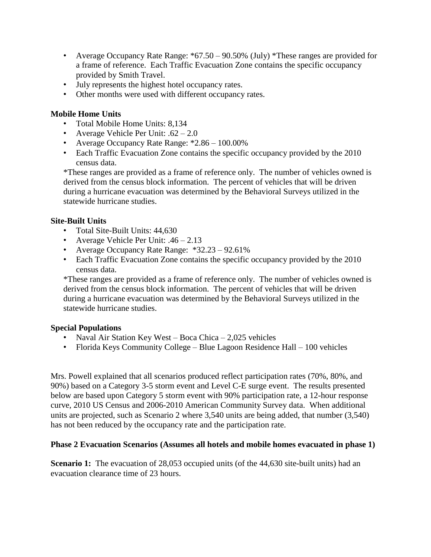- Average Occupancy Rate Range: \*67.50 90.50% (July) \*These ranges are provided for a frame of reference. Each Traffic Evacuation Zone contains the specific occupancy provided by Smith Travel.
- July represents the highest hotel occupancy rates.
- Other months were used with different occupancy rates.

# **Mobile Home Units**

- Total Mobile Home Units: 8,134
- Average Vehicle Per Unit:  $.62 2.0$
- Average Occupancy Rate Range: \*2.86 100.00%
- Each Traffic Evacuation Zone contains the specific occupancy provided by the 2010 census data.

\*These ranges are provided as a frame of reference only. The number of vehicles owned is derived from the census block information. The percent of vehicles that will be driven during a hurricane evacuation was determined by the Behavioral Surveys utilized in the statewide hurricane studies.

# **Site-Built Units**

- Total Site-Built Units: 44,630
- Average Vehicle Per Unit: .46 2.13
- Average Occupancy Rate Range: \*32.23 92.61%
- Each Traffic Evacuation Zone contains the specific occupancy provided by the 2010 census data.

\*These ranges are provided as a frame of reference only. The number of vehicles owned is derived from the census block information. The percent of vehicles that will be driven during a hurricane evacuation was determined by the Behavioral Surveys utilized in the statewide hurricane studies.

# **Special Populations**

- Naval Air Station Key West Boca Chica 2,025 vehicles
- Florida Keys Community College Blue Lagoon Residence Hall 100 vehicles

Mrs. Powell explained that all scenarios produced reflect participation rates (70%, 80%, and 90%) based on a Category 3-5 storm event and Level C-E surge event. The results presented below are based upon Category 5 storm event with 90% participation rate, a 12-hour response curve, 2010 US Census and 2006-2010 American Community Survey data. When additional units are projected, such as Scenario 2 where 3,540 units are being added, that number (3,540) has not been reduced by the occupancy rate and the participation rate.

# **Phase 2 Evacuation Scenarios (Assumes all hotels and mobile homes evacuated in phase 1)**

**Scenario 1:** The evacuation of 28,053 occupied units (of the 44,630 site-built units) had an evacuation clearance time of 23 hours.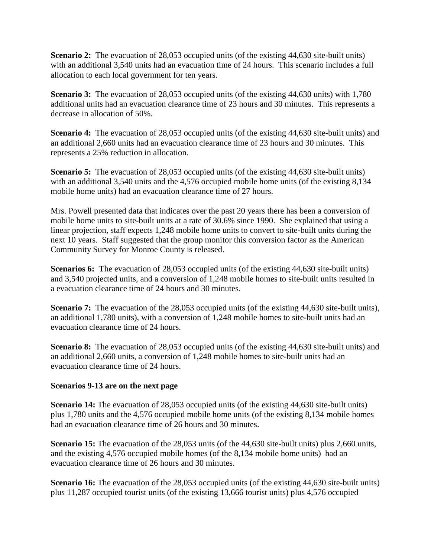**Scenario 2:** The evacuation of 28,053 occupied units (of the existing 44,630 site-built units) with an additional 3,540 units had an evacuation time of 24 hours. This scenario includes a full allocation to each local government for ten years.

**Scenario 3:** The evacuation of 28,053 occupied units (of the existing 44,630 units) with 1,780 additional units had an evacuation clearance time of 23 hours and 30 minutes. This represents a decrease in allocation of 50%.

**Scenario 4:** The evacuation of 28,053 occupied units (of the existing 44,630 site-built units) and an additional 2,660 units had an evacuation clearance time of 23 hours and 30 minutes. This represents a 25% reduction in allocation.

**Scenario 5:** The evacuation of 28,053 occupied units (of the existing 44,630 site-built units) with an additional 3,540 units and the 4,576 occupied mobile home units (of the existing 8,134) mobile home units) had an evacuation clearance time of 27 hours.

Mrs. Powell presented data that indicates over the past 20 years there has been a conversion of mobile home units to site-built units at a rate of 30.6% since 1990. She explained that using a linear projection, staff expects 1,248 mobile home units to convert to site-built units during the next 10 years. Staff suggested that the group monitor this conversion factor as the American Community Survey for Monroe County is released.

**Scenarios 6:** The evacuation of 28,053 occupied units (of the existing 44,630 site-built units) and 3,540 projected units, and a conversion of 1,248 mobile homes to site-built units resulted in a evacuation clearance time of 24 hours and 30 minutes.

**Scenario 7:** The evacuation of the 28,053 occupied units (of the existing 44,630 site-built units), an additional 1,780 units), with a conversion of 1,248 mobile homes to site-built units had an evacuation clearance time of 24 hours.

**Scenario 8:** The evacuation of 28,053 occupied units (of the existing 44,630 site-built units) and an additional 2,660 units, a conversion of 1,248 mobile homes to site-built units had an evacuation clearance time of 24 hours.

# **Scenarios 9-13 are on the next page**

**Scenario 14:** The evacuation of 28,053 occupied units (of the existing 44,630 site-built units) plus 1,780 units and the 4,576 occupied mobile home units (of the existing 8,134 mobile homes had an evacuation clearance time of 26 hours and 30 minutes.

**Scenario 15:** The evacuation of the 28,053 units (of the 44,630 site-built units) plus 2,660 units, and the existing 4,576 occupied mobile homes (of the 8,134 mobile home units) had an evacuation clearance time of 26 hours and 30 minutes.

**Scenario 16:** The evacuation of the 28,053 occupied units (of the existing 44,630 site-built units) plus 11,287 occupied tourist units (of the existing 13,666 tourist units) plus 4,576 occupied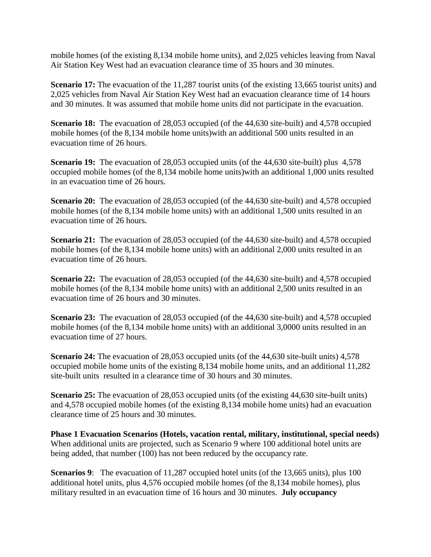mobile homes (of the existing 8,134 mobile home units), and 2,025 vehicles leaving from Naval Air Station Key West had an evacuation clearance time of 35 hours and 30 minutes.

**Scenario 17:** The evacuation of the 11,287 tourist units (of the existing 13,665 tourist units) and 2,025 vehicles from Naval Air Station Key West had an evacuation clearance time of 14 hours and 30 minutes. It was assumed that mobile home units did not participate in the evacuation.

**Scenario 18:** The evacuation of 28,053 occupied (of the 44,630 site-built) and 4,578 occupied mobile homes (of the 8,134 mobile home units)with an additional 500 units resulted in an evacuation time of 26 hours.

**Scenario 19:** The evacuation of 28,053 occupied units (of the 44,630 site-built) plus 4,578 occupied mobile homes (of the 8,134 mobile home units)with an additional 1,000 units resulted in an evacuation time of 26 hours.

**Scenario 20:** The evacuation of 28,053 occupied (of the 44,630 site-built) and 4,578 occupied mobile homes (of the 8,134 mobile home units) with an additional 1,500 units resulted in an evacuation time of 26 hours.

**Scenario 21:** The evacuation of 28,053 occupied (of the 44,630 site-built) and 4,578 occupied mobile homes (of the 8,134 mobile home units) with an additional 2,000 units resulted in an evacuation time of 26 hours.

**Scenario 22:** The evacuation of 28,053 occupied (of the 44,630 site-built) and 4,578 occupied mobile homes (of the 8,134 mobile home units) with an additional 2,500 units resulted in an evacuation time of 26 hours and 30 minutes.

**Scenario 23:** The evacuation of 28,053 occupied (of the 44,630 site-built) and 4,578 occupied mobile homes (of the 8,134 mobile home units) with an additional 3,0000 units resulted in an evacuation time of 27 hours.

**Scenario 24:** The evacuation of 28,053 occupied units (of the 44,630 site-built units) 4,578 occupied mobile home units of the existing 8,134 mobile home units, and an additional 11,282 site-built units resulted in a clearance time of 30 hours and 30 minutes.

**Scenario 25:** The evacuation of 28,053 occupied units (of the existing 44,630 site-built units) and 4,578 occupied mobile homes (of the existing 8,134 mobile home units) had an evacuation clearance time of 25 hours and 30 minutes.

**Phase 1 Evacuation Scenarios (Hotels, vacation rental, military, institutional, special needs)** When additional units are projected, such as Scenario 9 where 100 additional hotel units are being added, that number (100) has not been reduced by the occupancy rate.

**Scenarios 9**: The evacuation of 11,287 occupied hotel units (of the 13,665 units), plus 100 additional hotel units, plus 4,576 occupied mobile homes (of the 8,134 mobile homes), plus military resulted in an evacuation time of 16 hours and 30 minutes. **July occupancy**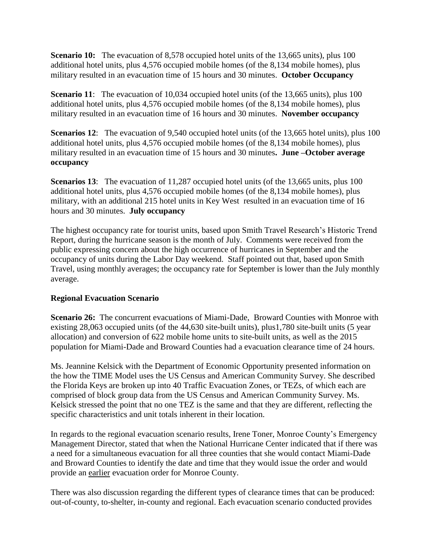**Scenario 10:** The evacuation of 8,578 occupied hotel units of the 13,665 units), plus 100 additional hotel units, plus 4,576 occupied mobile homes (of the 8,134 mobile homes), plus military resulted in an evacuation time of 15 hours and 30 minutes. **October Occupancy**

**Scenario** 11: The evacuation of 10,034 occupied hotel units (of the 13,665 units), plus 100 additional hotel units, plus 4,576 occupied mobile homes (of the 8,134 mobile homes), plus military resulted in an evacuation time of 16 hours and 30 minutes. **November occupancy**

**Scenarios 12:** The evacuation of 9,540 occupied hotel units (of the 13,665 hotel units), plus 100 additional hotel units, plus 4,576 occupied mobile homes (of the 8,134 mobile homes), plus military resulted in an evacuation time of 15 hours and 30 minutes**. June –October average occupancy**

**Scenarios 13:** The evacuation of 11,287 occupied hotel units (of the 13,665 units, plus 100 additional hotel units, plus 4,576 occupied mobile homes (of the 8,134 mobile homes), plus military, with an additional 215 hotel units in Key West resulted in an evacuation time of 16 hours and 30 minutes. **July occupancy**

The highest occupancy rate for tourist units, based upon Smith Travel Research's Historic Trend Report, during the hurricane season is the month of July. Comments were received from the public expressing concern about the high occurrence of hurricanes in September and the occupancy of units during the Labor Day weekend. Staff pointed out that, based upon Smith Travel, using monthly averages; the occupancy rate for September is lower than the July monthly average.

# **Regional Evacuation Scenario**

**Scenario 26:** The concurrent evacuations of Miami-Dade, Broward Counties with Monroe with existing 28,063 occupied units (of the 44,630 site-built units), plus1,780 site-built units (5 year allocation) and conversion of 622 mobile home units to site-built units, as well as the 2015 population for Miami-Dade and Broward Counties had a evacuation clearance time of 24 hours.

Ms. Jeannine Kelsick with the Department of Economic Opportunity presented information on the how the TIME Model uses the US Census and American Community Survey. She described the Florida Keys are broken up into 40 Traffic Evacuation Zones, or TEZs, of which each are comprised of block group data from the US Census and American Community Survey. Ms. Kelsick stressed the point that no one TEZ is the same and that they are different, reflecting the specific characteristics and unit totals inherent in their location.

In regards to the regional evacuation scenario results, Irene Toner, Monroe County's Emergency Management Director, stated that when the National Hurricane Center indicated that if there was a need for a simultaneous evacuation for all three counties that she would contact Miami-Dade and Broward Counties to identify the date and time that they would issue the order and would provide an earlier evacuation order for Monroe County.

There was also discussion regarding the different types of clearance times that can be produced: out-of-county, to-shelter, in-county and regional. Each evacuation scenario conducted provides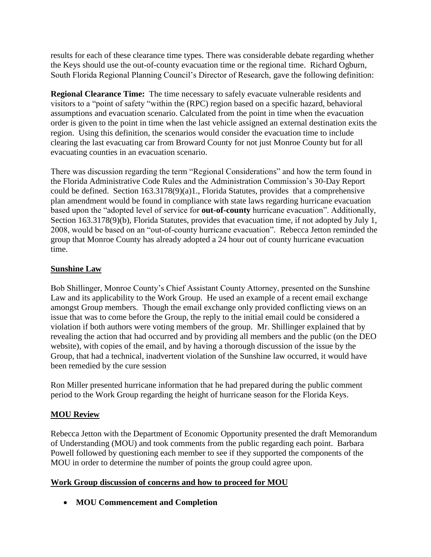results for each of these clearance time types. There was considerable debate regarding whether the Keys should use the out-of-county evacuation time or the regional time. Richard Ogburn, South Florida Regional Planning Council's Director of Research, gave the following definition:

**Regional Clearance Time:** The time necessary to safely evacuate vulnerable residents and visitors to a "point of safety "within the (RPC) region based on a specific hazard, behavioral assumptions and evacuation scenario. Calculated from the point in time when the evacuation order is given to the point in time when the last vehicle assigned an external destination exits the region. Using this definition, the scenarios would consider the evacuation time to include clearing the last evacuating car from Broward County for not just Monroe County but for all evacuating counties in an evacuation scenario.

There was discussion regarding the term "Regional Considerations" and how the term found in the Florida Administrative Code Rules and the Administration Commission's 30-Day Report could be defined. Section 163.3178(9)(a)1., Florida Statutes, provides that a comprehensive plan amendment would be found in compliance with state laws regarding hurricane evacuation based upon the "adopted level of service for **out-of-county** hurricane evacuation". Additionally, Section 163.3178(9)(b), Florida Statutes, provides that evacuation time, if not adopted by July 1, 2008, would be based on an "out-of-county hurricane evacuation". Rebecca Jetton reminded the group that Monroe County has already adopted a 24 hour out of county hurricane evacuation time.

# **Sunshine Law**

Bob Shillinger, Monroe County's Chief Assistant County Attorney, presented on the Sunshine Law and its applicability to the Work Group. He used an example of a recent email exchange amongst Group members. Though the email exchange only provided conflicting views on an issue that was to come before the Group, the reply to the initial email could be considered a violation if both authors were voting members of the group. Mr. Shillinger explained that by revealing the action that had occurred and by providing all members and the public (on the DEO website), with copies of the email, and by having a thorough discussion of the issue by the Group, that had a technical, inadvertent violation of the Sunshine law occurred, it would have been remedied by the cure session

Ron Miller presented hurricane information that he had prepared during the public comment period to the Work Group regarding the height of hurricane season for the Florida Keys.

# **MOU Review**

Rebecca Jetton with the Department of Economic Opportunity presented the draft Memorandum of Understanding (MOU) and took comments from the public regarding each point. Barbara Powell followed by questioning each member to see if they supported the components of the MOU in order to determine the number of points the group could agree upon.

# **Work Group discussion of concerns and how to proceed for MOU**

**MOU Commencement and Completion**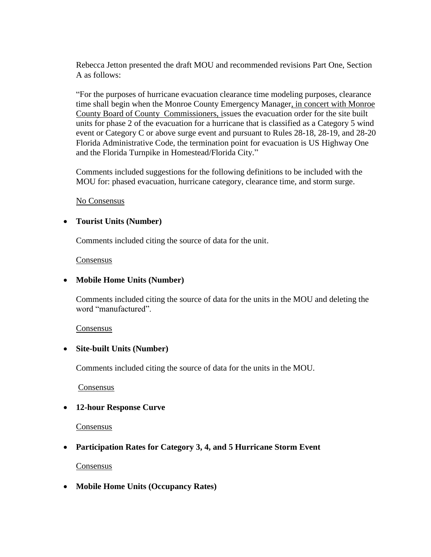Rebecca Jetton presented the draft MOU and recommended revisions Part One, Section A as follows:

"For the purposes of hurricane evacuation clearance time modeling purposes, clearance time shall begin when the Monroe County Emergency Manager, in concert with Monroe County Board of County Commissioners, issues the evacuation order for the site built units for phase 2 of the evacuation for a hurricane that is classified as a Category 5 wind event or Category C or above surge event and pursuant to Rules 28-18, 28-19, and 28-20 Florida Administrative Code, the termination point for evacuation is US Highway One and the Florida Turnpike in Homestead/Florida City."

Comments included suggestions for the following definitions to be included with the MOU for: phased evacuation, hurricane category, clearance time, and storm surge.

No Consensus

#### **Tourist Units (Number)**

Comments included citing the source of data for the unit.

#### Consensus

#### **Mobile Home Units (Number)**

Comments included citing the source of data for the units in the MOU and deleting the word "manufactured".

#### **Consensus**

#### **Site-built Units (Number)**

Comments included citing the source of data for the units in the MOU.

**Consensus** 

#### **12-hour Response Curve**

Consensus

# **Participation Rates for Category 3, 4, and 5 Hurricane Storm Event**

#### **Consensus**

**Mobile Home Units (Occupancy Rates)**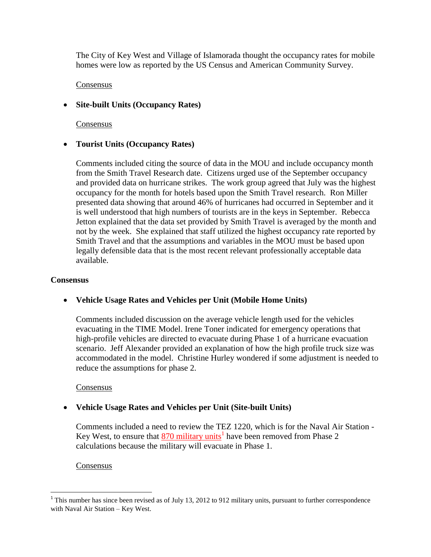The City of Key West and Village of Islamorada thought the occupancy rates for mobile homes were low as reported by the US Census and American Community Survey.

### Consensus

# **Site-built Units (Occupancy Rates)**

Consensus

# **Tourist Units (Occupancy Rates)**

Comments included citing the source of data in the MOU and include occupancy month from the Smith Travel Research date. Citizens urged use of the September occupancy and provided data on hurricane strikes. The work group agreed that July was the highest occupancy for the month for hotels based upon the Smith Travel research. Ron Miller presented data showing that around 46% of hurricanes had occurred in September and it is well understood that high numbers of tourists are in the keys in September. Rebecca Jetton explained that the data set provided by Smith Travel is averaged by the month and not by the week. She explained that staff utilized the highest occupancy rate reported by Smith Travel and that the assumptions and variables in the MOU must be based upon legally defensible data that is the most recent relevant professionally acceptable data available.

#### **Consensus**

# **Vehicle Usage Rates and Vehicles per Unit (Mobile Home Units)**

Comments included discussion on the average vehicle length used for the vehicles evacuating in the TIME Model. Irene Toner indicated for emergency operations that high-profile vehicles are directed to evacuate during Phase 1 of a hurricane evacuation scenario. Jeff Alexander provided an explanation of how the high profile truck size was accommodated in the model. Christine Hurley wondered if some adjustment is needed to reduce the assumptions for phase 2.

#### Consensus

# **Vehicle Usage Rates and Vehicles per Unit (Site-built Units)**

Comments included a need to review the TEZ 1220, which is for the Naval Air Station - Key West, to ensure that  $\frac{870 \text{ military units}}{1}$  have been removed from Phase 2 calculations because the military will evacuate in Phase 1.

# Consensus

 $\overline{a}$ 

 $1$ <sup>1</sup> This number has since been revised as of July 13, 2012 to 912 military units, pursuant to further correspondence with Naval Air Station – Key West.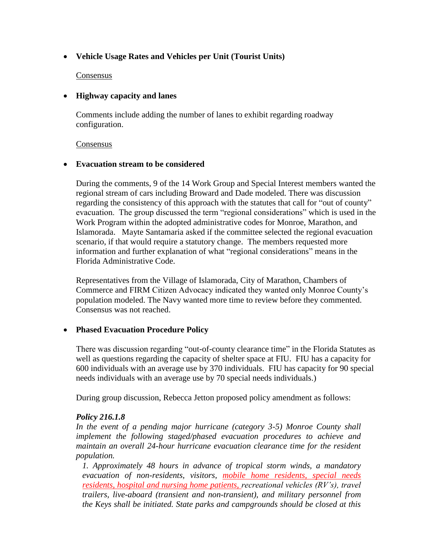# **Vehicle Usage Rates and Vehicles per Unit (Tourist Units)**

### **Consensus**

### **Highway capacity and lanes**

Comments include adding the number of lanes to exhibit regarding roadway configuration.

#### Consensus

### **Evacuation stream to be considered**

During the comments, 9 of the 14 Work Group and Special Interest members wanted the regional stream of cars including Broward and Dade modeled. There was discussion regarding the consistency of this approach with the statutes that call for "out of county" evacuation. The group discussed the term "regional considerations" which is used in the Work Program within the adopted administrative codes for Monroe, Marathon, and Islamorada. Mayte Santamaria asked if the committee selected the regional evacuation scenario, if that would require a statutory change. The members requested more information and further explanation of what "regional considerations" means in the Florida Administrative Code.

Representatives from the Village of Islamorada, City of Marathon, Chambers of Commerce and FIRM Citizen Advocacy indicated they wanted only Monroe County's population modeled. The Navy wanted more time to review before they commented. Consensus was not reached.

# **Phased Evacuation Procedure Policy**

There was discussion regarding "out-of-county clearance time" in the Florida Statutes as well as questions regarding the capacity of shelter space at FIU. FIU has a capacity for 600 individuals with an average use by 370 individuals. FIU has capacity for 90 special needs individuals with an average use by 70 special needs individuals.)

During group discussion, Rebecca Jetton proposed policy amendment as follows:

#### *Policy 216.1.8*

*In the event of a pending major hurricane (category 3-5) Monroe County shall implement the following staged/phased evacuation procedures to achieve and maintain an overall 24-hour hurricane evacuation clearance time for the resident population.*

*1. Approximately 48 hours in advance of tropical storm winds, a mandatory evacuation of non-residents, visitors, mobile home residents, special needs residents, hospital and nursing home patients, recreational vehicles (RV's), travel trailers, live-aboard (transient and non-transient), and military personnel from the Keys shall be initiated. State parks and campgrounds should be closed at this*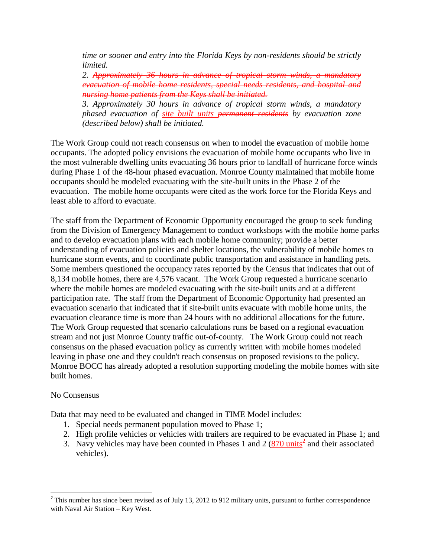*time or sooner and entry into the Florida Keys by non-residents should be strictly limited.*

*2. Approximately 36 hours in advance of tropical storm winds, a mandatory evacuation of mobile home residents, special needs residents, and hospital and nursing home patients from the Keys shall be initiated.*

*3. Approximately 30 hours in advance of tropical storm winds, a mandatory phased evacuation of site built units permanent residents by evacuation zone (described below) shall be initiated.*

The Work Group could not reach consensus on when to model the evacuation of mobile home occupants. The adopted policy envisions the evacuation of mobile home occupants who live in the most vulnerable dwelling units evacuating 36 hours prior to landfall of hurricane force winds during Phase 1 of the 48-hour phased evacuation. Monroe County maintained that mobile home occupants should be modeled evacuating with the site-built units in the Phase 2 of the evacuation. The mobile home occupants were cited as the work force for the Florida Keys and least able to afford to evacuate.

The staff from the Department of Economic Opportunity encouraged the group to seek funding from the Division of Emergency Management to conduct workshops with the mobile home parks and to develop evacuation plans with each mobile home community; provide a better understanding of evacuation policies and shelter locations, the vulnerability of mobile homes to hurricane storm events, and to coordinate public transportation and assistance in handling pets. Some members questioned the occupancy rates reported by the Census that indicates that out of 8,134 mobile homes, there are 4,576 vacant. The Work Group requested a hurricane scenario where the mobile homes are modeled evacuating with the site-built units and at a different participation rate. The staff from the Department of Economic Opportunity had presented an evacuation scenario that indicated that if site-built units evacuate with mobile home units, the evacuation clearance time is more than 24 hours with no additional allocations for the future. The Work Group requested that scenario calculations runs be based on a regional evacuation stream and not just Monroe County traffic out-of-county. The Work Group could not reach consensus on the phased evacuation policy as currently written with mobile homes modeled leaving in phase one and they couldn't reach consensus on proposed revisions to the policy. Monroe BOCC has already adopted a resolution supporting modeling the mobile homes with site built homes.

#### No Consensus

Data that may need to be evaluated and changed in TIME Model includes:

- 1. Special needs permanent population moved to Phase 1;
- 2. High profile vehicles or vehicles with trailers are required to be evacuated in Phase 1; and
- 3. Navy vehicles may have been counted in Phases 1 and 2  $(870 \text{ units}^2)$  and their associated vehicles).

<sup>&</sup>lt;sup>2</sup> This number has since been revised as of July 13, 2012 to 912 military units, pursuant to further correspondence with Naval Air Station – Key West.